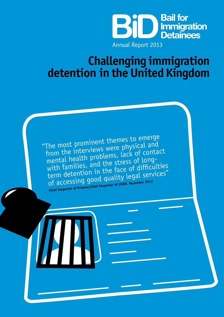

*Challenging Immigration detention in the United Kingdom*

### **Challenging immigration detention in the United Kingdom**

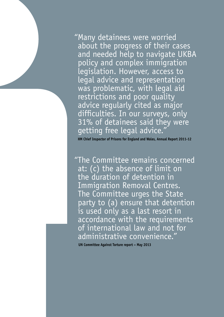"Many detainees were worried<br>about the progress of their cas<br>and needd help to navigate<br>policy and complex immigrati<br>legislation. However, access t<br>legal advice and representation<br>was problematic, with legal a<br>restrictions about the progress of their cases and needed help to navigate UKBA policy and complex immigration legislation. However, access to legal advice and representation was problematic, with legal aid restrictions and poor quality advice regularly cited as major difficulties. In our surveys, only 31% of detainees said they were getting free legal advice.

**HM Chief Inspector of Prisons for England and Wales, Annual Report 2011-12**

"The Committee remains concerned at: (c) the absence of limit on the duration of detention in Immigration Removal Centres. The Committee urges the State party to (a) ensure that detention is used only as a last resort in accordance with the requirements of international law and not for administrative convenience."

 **UN Committee Against Torture report – May 2013**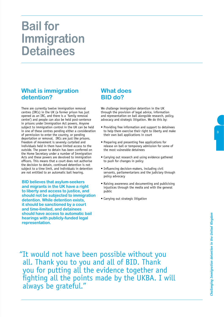### **Bail for Immigration Detainees**

#### **What is immigration detention?**

There are currently twelve immigration removal centres (IRCs) in the UK (a former prison has just opened as an IRC, and there is a `family removal centre') and people can also be held post-sentence in prisons under Immigration Act powers. Anyone subject to immigration control in the UK can be held in one of these centres pending either a consideration of permission to enter the country, or pending deportation or removal. IRCs are just like prisons. Freedom of movement is severely curtailed and individuals held in them have limited access to the outside. The power to detain has been conferred on the Home Secretary under a number of Immigration Acts and these powers are devolved to immigration officers. This means that a court does not authorise the decision to detain, continued detention is not subject to a time limit, and individuals in detention are not entitled to an automatic bail hearing.

**BID believes that asylum-seekers and migrants in the UK have a right to liberty and access to justice, and should not be subjected to immigration detention. While detention exists, it should be sanctioned by a court and time-limited, and detainees should have access to automatic bail hearings with publicly-funded legal representation.**

#### **What does BID do?**

We challenge immigration detention in the UK through the provision of legal advice, information and representation on bail alongside research, policy, advocacy and strategic litigation. We do this by:

- Providing free information and support to detainees to help them exercise their right to liberty and make their own bail applications in court
- Preparing and presenting free applications for release on bail or temporary admission for some of the most vulnerable detainees
- Carrying out research and using evidence gathered to push for changes in policy
- Influencing decision-makers, including civil servants, parliamentarians and the judiciary through policy advocacy
- Raising awareness and documenting and publicising injustices through the media and with the general public
- Carrying out strategic litigation

"It would not have been possible without you all. Thank you to you and all of BID. Thank you for putting all the evidence together and fighting all the points made by the UKBA. I will always be grateful."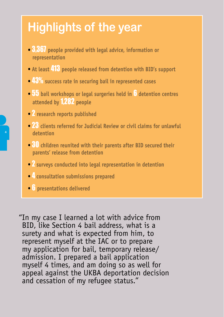# **Highlights of the year**

- *•* 3,367 **people provided with legal advice, information or representation**
- *•* **At least** 413 **people released from detention with BID's support**
- *•* 43% **success rate in securing bail in represented cases**
- *•* 55 **bail workshops or legal surgeries held in** 6 **detention centres attended by** 1,282 **people**
- *•* 2 **research reports published**
- <sup>23</sup> clients referred for Judicial Review or civil claims for unlawful  **detention**
- *•* 30 **children reunited with their parents after BID secured their parents' release from detention**
- *•* 2 **surveys conducted into legal representation in detention**
- *•* 4 **consultation submissions prepared**
- *•* 6 **presentations delivered**

"In my case I learned a lot with advice from BID, like Section 4 bail address, what is a surety and what is expected from him, to represent myself at the IAC or to prepare my application for bail, temporary release/ admission. I prepared a bail application myself 4 times, and am doing so as well for appeal against the UKBA deportation decision and cessation of my refugee status."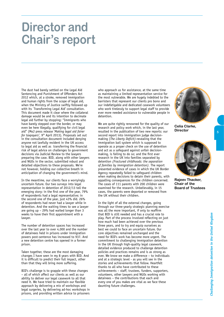### **Director and Chair's report**

The dust had barely settled on the Legal Aid Sentencing and Punishment of Offenders Act 2012 which, at a stroke, removed immigration and human rights from the scope of legal aid, when the Ministry of Justice swiftly followed up with its `Transforming Legal Aid' consultation. This document made it clear where the collateral damage would be and its intention to decimate legal aid further by stopping: "Immigrants who have barely stepped over the border, or may even be here illegally, qualifying for civil legal aid" (MoJ press release '*Making legal aid fairer for taxpayers'*, 9th April 2013). Proposals set out in the consultation document included denying anyone not lawfully resident in the UK access to legal aid as well as transferring the financial risk of legal advice on challenges to government decisions via Judicial Review to the lawyers preparing the case. BID, along with other lawyers and NGOs in the sector, submitted robust and detailed objections to these proposals. We're not however, holding our collective breath in anticipation of changing the government's mind.

In the meantime, our clients face a worryingly uncertain future. Our two surveys into legal representation in detention of 2012/13 tell the emerging story: in the first one of the year, 79% of respondents had a legal representative; in the second one of the year, just 43% did. 26% of respondents had never had a lawyer while in detention. And the waiting times to see a lawyer are going up – 29% had waited longer than 3 weeks to have their first appointment with a lawyer.

The number of detention spaces has increased over the last year to over 4,000 and the number of detainees held in prisons under immigration powers post-sentence has increased to 937. And a new detention centre has opened in a former prison.

Taken together, these are the most damaging changes I have seen in my 8 years with BID. And it is difficult to predict their full impact, other than that they will bring more suffering.

BID's challenge is to grapple with these changes – all of which affect our clients as well as our ability to deliver our legal casework to all that need it. We have tried to maintain our flexible approach by delivering a mix of workshops and legal surgeries, by delivering ad-hoc workshops in prisons, and providing written advice to prisoners

who approach us for assistance, at the same time as maintaining a limited representation service for the most vulnerable. We are hugely indebted to the barristers that represent our clients pro bono and our indefatigable and dedicated casework volunteers who work tirelessly to support legal staff to provide ever more needed assistance to vulnerable people in detention.

We are quite rightly renowned for the quality of our research and policy work which, in the last year, resulted in the publication of two new reports: our second report into immigration judge decisionmaking (*The Liberty Deficit)*-revealing that the immigration bail system which is supposed to operate as a proper check on the use of detention and act as a safeguard against unfair decisionmaking, is failing to do so; and the first ever research in the UK into families separated by detention *(Fractured childhoods: the separation of families by immigration detention).* The report presented evidence of cases in which the UK Border Agency repeatedly failed to safeguard children when making decisions to detain their parents, with appalling consequences for the children concerned. The cases of 111 parents with 200 children were examined for the research. Unbelievably, in 15 cases, the parents were deported or removed from the UK without their children.

In the light of all the external changes, going through our three-yearly strategic planning exercise was all the more important, if only to reaffirm that BID is still needed and has a crucial role to play. Part of the process involved reflecting on just how much had been achieved over the previous three years, and to try and equip ourselves as best we could to face an uncertain future. Our core objectives remained unchanged and the need for BID's work has become more urgent. The commitment to challenging immigration detention in the UK through high-quality legal casework, detailed evidence produced to challenge detention policies and practices remains and is as strong as ever. We know we make a difference – to individuals and at a strategic level - as you will see in the stories and achievements that follow. Heartfelt thanks to all who have contributed to these achievements – staff, trustees, funders, supporters, volunteers, other lawyers and NGOs working with detainees – the contributions that each and every one of you makes are vital as we face these daunting future challenges.



**Celia Clarke, Director**



5

**Rajeev Thacker, Chair of the Board of Trustees**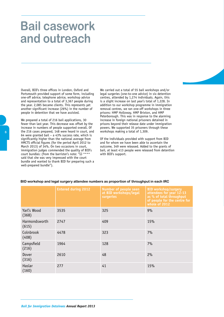### **Bail casework and outreach**

Overall, BID's three offices in London, Oxford and Portsmouth provided support of some form, including one-off advice, telephone advice, workshop advice and representation to a total of 3,367 people during the year. 2,085 became clients. This represents yet another significant increase (26%) in the number of people in detention that we have assisted.

We prepared a total of 216 bail applications, 30 fewer than last year. This decrease was offset by the increase in numbers of people supported overall. Of the 216 cases prepared, 148 were heard in court, and 64 were granted bail – a 43% success rate, which is significantly higher than the national average from HMCTS official figures (for the period April 2012 to March 2013) of 34%. On two occasions in court, immigration judges commended the quality of BID's court bundles: (from the barrister's note: "IJ \*\*\*\* said that she was very impressed with the court bundle and wanted to thank BID for preparing such a well-prepared bundle").

We carried out a total of 55 bail workshops and/or legal surgeries (one-to-one advice) in six detention centres, attended by 1,274 individuals. Again, this is a slight increase on last year's total of 1,228. In addition to our workshop programme in immigration removal centres, we ran one-off workshops in three prisons: HMP Holloway, HMP Brixton, and HMP Peterborough. This was in response to the alarming increase in foreign national prisoners detained in prisons beyond their release date under immigration powers. We supported 35 prisoners through these workshops making a total of 1,309.

Of the individuals provided with support from BID and for whom we have been able to ascertain the outcome, 349 were released. Added to the grants of bail, at least 413 people were released from detention with BID's support.

|                        | <b>Entered during 2012</b> | Number of people seen<br>at BID workshops/legal<br>surgeries | <b>BID workshop/surgery</b><br>attendees for year 12-13<br>as % of total throughput<br>of people for the centre for<br>whole of 2012 |
|------------------------|----------------------------|--------------------------------------------------------------|--------------------------------------------------------------------------------------------------------------------------------------|
| Yarl's Wood<br>(368)   | 3535                       | 325                                                          | 9%                                                                                                                                   |
| Harmondsworth<br>(615) | 2747                       | 409                                                          | 15%                                                                                                                                  |
| Colnbrook<br>(408)     | 4478                       | 323                                                          | 7%                                                                                                                                   |
| Campsfield<br>(216)    | 1964                       | 128                                                          | 7%                                                                                                                                   |
| Dover<br>(316)         | 2610                       | 48                                                           | 2%                                                                                                                                   |
| Haslar<br>(160)        | 277                        | 41                                                           | 15%                                                                                                                                  |

#### **BID workshop and legal surgery attendee numbers as proportion of throughput in each IRC**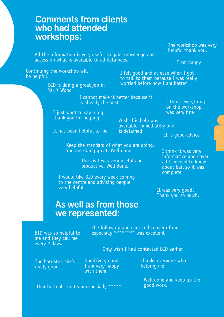### **Comments from clients who had attended workshops:**

All the information is very useful to gain knowledge and access on what is available to all detainees.

The workshop was very helpful thank you.

I am happy

Continuing the workshop will<br>be helpful.

BID is doing a great job in Yarl's Wood

I felt good and at ease when I got to talk to them because I was really worried before now I am better

I cannot make it better because it is already the best

I just want to say a big thank you for helping

It has been helpful to me

Wish this help was available immediately one is detained

It is good advice

I think everything on the workshop was very fine

Keep the standard of what you are doing. You are doing great. Well done! I think it was very

> The visit was very useful and productive. Well done.

I would like BID every week coming to the centre and advising people very helpful

informative and cover all I needed to know about bail so it was complete

It was very good! Thank you so much.

### **As well as from those we represented:**

BID was so helpful to me and they call me every 2 days.

The follow up and care and concern from especially \*\*\*\*\*\*\*\* was excellent

Only wish I had contacted BID earlier

The barrister, she's really good

Good/very good. I am very happy with them.

Thanks everyone who helping me

Well done and keep up the good work.

Thanks to all the team especially \*\*\*\*\*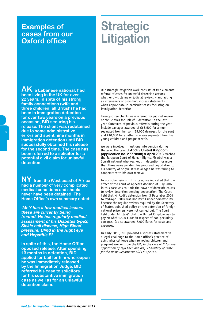### **Examples of cases from our Oxford office**

# **Strategic Litigation**

**AK, a Lebanese national, had been living in the UK for over 22 years. In spite of his strong family connections (wife and three children, all British) he had been in immigration detention for over two years on a previous occasion, BID securing his release. The client was redetained due to some administrative errors and spent nine months in immigration detention until BID successfully obtained his release for the second time. The case has been referred to a solicitor for a potential civil claim for unlawful detention.** 

**NY, from the West coast of Africa had a number of very complicated medical conditions and should never have been detained. The Home Office's own summary noted:** 

*'Mr Y has a few medical issues, these are currently being treated. He has regularly medical assessment of his Diabetes type2, Sickle cell disease, High Blood pressure, Blind in the Right eye and Hepatitis B'.*

**In spite of this, the Home Office opposed release. After spending 13 months in detention, BID applied for bail for him whereupon he was immediately released by the Immigration Judge. BID referred his case to solicitors for his substantive immigration case as well as for an unlawful detention claim.**

Our strategic litigation work consists of two elements: referral of cases for unlawful detention actions – whether civil claims or judicial reviews – and acting as interveners or providing witness statements when appropriate in particular cases focussing on immigration detention.

Twenty-three clients were referred for judicial review or civil claims for unlawful detention in the last year. Outcomes of previous referrals during the year include damages awarded of £63,500 for a mum separated from her son (£5,000 damages for the son) and £10,000 for a father who was separated from his young children and pregnant wife.

We were involved in just one intervention during the year. The case of **Abdi v United Kingdom (application no. 27770/08) 9 April 2013** reached the European Court of Human Rights. Mr Abdi was a Somali national who was kept in detention for more than three years pending his proposed deportation to his country of origin. It was alleged he was failing to cooperate with his own removal.

In our submissions in this case, we indicated that the effect of the Court of Appeal's decision of July 2007 in this case was to limit the power of domestic courts to review detention pending deportation. The Court held that Mr Abdi's detention from 3 December 2004 to mid-April 2007 was not lawful under domestic law because the regular reviews required by the Secretary of State's published policy on the detention of foreign national prisoners were not carried out. The Court held under Article 41 that the United Kingdom was to pay Mr Abdi 1,500 Euros in respect of non-pecuniary damages. It also awarded 7,000 Euros for costs and expenses.

In early 2013, BID provided a witness statement in a legal challenge to the Home Office's practice of using physical force when removing children and pregnant women from the UK, in the case of *R (on the application of Yiyu Chen and ors) v Secretary of State for the Home Department CO/1119/2013*.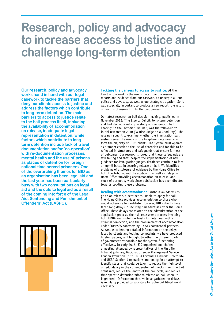## **Research, policy and advocacy to increase access to justice and challenge long-term detention**

**Our research, policy and advocacy works hand in hand with our legal casework to tackle the barriers that deny our clients access to justice and address the factors which contribute to long-term detention. The main barriers to access to justice relate to the bail process itself, including the availability of accommodation on release, inadequate legal representation in detention, while factors which contribute to longterm detention include lack of travel documentation and/or `co-operation' with re-documentation processes, mental health and the use of prisons as places of detention for foreign national time-served prisoners. One of the overarching themes for BID as an organisation has been legal aid and the last year has been particularly busy with two consultations on legal aid and the cuts to legal aid as a result of the coming into force of the Legal Aid, Sentencing and Punishment of Offenders' Act (LASPO).**



**Tackling the barriers to access to justice:** At the heart of our work is the use of data from our research reports and evidence from our casework to underpin all our policy and advocacy, as well as our strategic litigation. So it was especially important to produce a new report, the result of months of research, into the bail process.

Our latest research on bail decision-making, published in November 2012: `The Liberty Deficit: long-term detention and bail decision-making: a study of immigration bail hearings in the First-tier Tribunal', was the follow-up to initial research in 2010 (`A Nice Judge on a Good Day'). The research sought to examine whether the immigration bail system serves the needs of the long-term detainees who form the majority of BID's clients. The system must operate as a proper check on the use of detention and for this to be reflected in structures and safeguards that ensure fairness of outcomes. Our research showed that these safeguards are still failing and that, despite the implementation of new guidance for immigration judges, detainees continue to face an uphill battle in securing release on bail. We identified problems of disclosure of evidence by the Home Office to both the Tribunal and the applicant, as well as delays in Home Office providing accommodation on release, and much of our policy work since publication has been directed towards tackling these problems.

**Dealing with accommodation:** Without an address to go to on release, a detainee is unable to apply for bail. The Home Office provides accommodation to those who would otherwise be destitute. However, BID's clients have faced long delays in securing bail addresses from the Home Office. These delays are related to the administration of the application process, the risk assessment process involving both UKBA and Probation Trusts for detainees with a criminal conviction, and the procurement of accommodation under COMPASS contracts by UKBA's commercial partners. As well as collecting detailed information on the delays faced by clients and lodging complaints, we have produced briefing papers, and brought together the different parts of government responsible for the system functioning effectively. In early 2013, BID organised and chaired a meeting attended by representatives of the First Tier Tribunal judiciary, National Offender Management Service, London Probation Trust, UKBA Criminal Casework Directorate, and UKBA Section 4 operations and policy, in an attempt to identify steps that could be taken to reduce the high level of redundancy in the current system of checks given the bail grant rate, reduce the length of the bail cycle, and reduce time spent in detention prior to release on bail where it is granted. Information that we have gathered on delays is regularly provided to solicitors for potential litigation if necessary.

*Challenging Immigration detention in the United Kingdom*

Challenging Immigration detention in the United Kingdom

9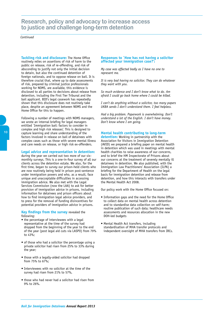#### **Research, policy and advocacy to increase access to justice and challenge long-term detention**

*Continued*

**Tackling risk and disclosure:** The Home Office routinely relies on assertions of risk of harm to the public on release, risk of re-offending, and risk of absconding to justify not only the initial decision to detain, but also the continued detention of foreign nationals, and to oppose release on bail. It is therefore crucial that, where up to date assessments of risk, prepared by criminal justice professionals working for NOMS, are available, this evidence is disclosed to all parties to decisions about release from detention, including the First Tier Tribunal and the bail applicant. BID's legal casework has repeatedly shown that this disclosure does not routinely take place, despite an agreement between NOMS and the Home Office for this to happen.

Following a number of meetings with NOMS managers, we wrote an internal briefing for legal managers entitled `Immigration bail: factors to consider in complex and high risk releases'. This is designed to capture learning and share understanding of the factors involved in release on bail of detainees with complex cases such as those with severe mental illness and care needs on release, or high risk ex-offenders.

#### **Legal advice and representation in detention:**

during the year we carried out two more of our sixmonthly surveys. This is a one-in-four survey of all our clients across the detention estate. We also, for the first time, began to survey our prison-held clients who are now routinely being held in prison post-sentence under immigration powers and who, as a result, face unique and unacceptable difficulties in accessing immigration advice. We also met with the Legal Services Commission (now the LAA) to ask for better provision of immigration advice in prisons, including information for detainees and prison officers about how to find immigration legal advice providers, and to press for the removal of funding disincentives for potential providers of immigration advice in prisons.

#### **Key findings from the survey** revealed the following:

- the percentage of interviewees with a legal representative at the time of the survey had dropped from the beginning of the year to the end of the year (post legal aid cuts via LASPO) from 79% to 43%;
- of those who had a solicitor the percentage using a private solicitor had risen from 25% to 33% during the year;
- those with a legally-aided solicitor had dropped from 75% to 67%;
- Interviewees with no solicitor at the time of the survey had risen from 21% to 57%,
- those who had never had a solicitor had risen from 9% to 26%.

#### **Responses to `How has not having a solicitor affected your immigration case?':**

*My case was affected badly as I have no one to represent me.*

*It is very bad having no solicitor. They can do whatever they want with you.*

*So much evidence and I don't know what to do. Am afraid I could go back home where I could be killed.*

*I can't do anything without a solicitor, too many papers UKBA sends I don't understand them. I feel helpless.*

*Had a big problem. Paperwork is overwhelming. Don't understand a lot of the English. I don't have money. Don't know where I am going.* 

#### **Mental health contributing to long-term**

**detention:** Working in partnership with the Association for Visitors in Immigration Detention (AVID) we prepared a briefing paper on mental health in detention which was used in meetings with mental health charities to raise awareness of our concerns, and to brief the HM Inspectorate of Prisons about our concerns at the treatment of severely mentally ill detainees in detention. We also published, with the Immigration Law Practitioners' Association (ILPA) a briefing for the Department of Health on the legal basis for immigration detention and release from detention, and how this interacts with transfers under the Mental Health Act 2008.

Our policy work with the Home Office focused on:

- Information gaps and the need for the Home Office to collect data on mental health across detention and to standardise data collection on self-harm; routine publication of such data; healthcare needs assessments and resources allocation in the new DOH-led budgets
- Mental Health Act transfers, including standardisation of MHA transfer protocols and independent oversight of MHA transfers from IRCs.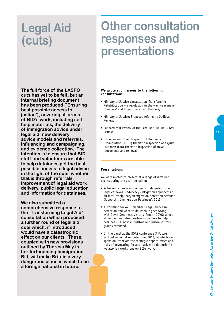# **Legal Aid (cuts)**

## **Other consultation responses and presentations**

**The full force of the LASPO cuts has yet to be felt, but an internal briefing document has been produced (`Ensuring best possible access to justice'), covering all areas of BID's work, including selfhelp materials, the delivery of immigration advice under legal aid, new delivery advice models and referrals, influencing and campaigning, and evidence collection. The intention is to ensure that BID staff and volunteers are able to help detainees get the best possible access to legal advice in the light of the cuts, whether that is through referrals, improvement of legal aid work delivery, public legal education and information for detainees.**

**We also submitted a comprehensive response to the `Transforming Legal Aid' consultation which proposed a further round of legal aid cuts which, if introduced, would have a catastrophic effect on our clients. These, coupled with new provisions outlined by Theresa May in her forthcoming Immigration Bill, will make Britain a very dangerous place in which to be a foreign national in future.**

#### **We wrote submissions to the following consultations:**

- Ministry of Justice consultation 'Transforming Rehabilitation – a revolution in the way we manage offenders' and foreign national offenders;
- Ministry of Justice: Proposed reforms to Judicial Review;
- Fundamental Review of the First Tier Tribunal bail issues;
- Independent Chief Inspector of Borders & Immigration (ICIBI) thematic inspection of asylum support; ICIBI thematic inspection of travel documents and removal

#### **Presentations**

We were invited to present at a range of different events during the year, including:

- 'Achieving change in immigration detention: the legal casework - advocacy - litigation approach' at an inter-disciplinary immigration detention seminar 'Supporting Immigration Detainees', 2013,
- A workshop for AVID members 'Legal advice in detention and what to do when it goes wrong' with Dover Detainees Visitors' Group (DDVG) aimed at helping volunteer visitors know how to help detainees. Almost 20 visitors and prison visitors' groups attended.
- On the panel at the SOAS conference 'A Future without immigration detention' 2013, at which we spoke on 'What are the strategic opportunities and risks of advocating for alternatives to detention?; we also ran workshops on BID's work.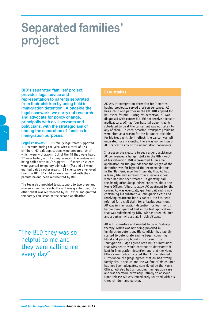## **Separated families' project**

**BID's separated families' project provides legal advice and representation to parents separated from their children by being held in immigration detention. Alongside the legal casework, we carry out research and advocate for policy change, principally with civil servants and politicians, with the strategic aim of ending the separation of families for immigration purposes.** 

**Legal casework:** BID's family legal team supported 113 parents during the year, with a total of 163 children. 67 bail applications were prepared, 19 of which were withdrawn. Out of the 48 that were heard, 17 were bailed, with two representing themselves and being bailed with BID's support. A further 17 clients were granted temporary admission (TA) and 15 were granted bail by other means. 18 clients were removed from the UK. 30 children were reunited with their parents having been represented by BID.

The team also provided legal support to two pregnant women – one had a solicitor and was granted bail, the other client was represented by BID twice and granted temporary admission at the second application.

"The BID they was so helpful to me and they were calling me every day"

#### **Case studies**

AC was in immigration detention for 9 months, having previously served a prison sentence. AC has a child and partner in the UK. BID applied for bail twice for him. During his detention, AC was diagnosed with cancer but did not receive adequate medical care. AC had four hospital appointments scheduled to treat the cancer but was not taken to any of them. On each occasion, transport problems were cited as a reason for the failure to take him for his treatment. So in effect, the cancer was left untreated for six months. There was no mention of AC's cancer in any of the immigration documents.

In a desperate measure to seek urgent assistance, AC commenced a hunger strike in the 8th month of his detention. BiD represented AC in a bail application on the grounds that the length of the detention was far beyond the recommendations in the 'Bail Guidance' for Tribunals, that AC had a family life and suffered from a serious illness which had not been treated. In granting bail, the Immigration Judge raised concerns about the Home Office's failure to allow AC treatment for the cancer. AC was eventually granted bail and is now continuing his substantive immigration case and receiving treatment for his cancer. He has been referred for a civil claim for unlawful detention. AD was in immigration detention for four months before being granted bail in the first application that was submitted by BID. AD has three children and a partner who are all British citizens.

AD is HIV positive and needed to be on 'salvage therapy' which was not being provided in immigration detention. His condition had rapidly started to deteriorate and he began coughing blood and passing blood in his urine. The Immigration Judge agreed with BID's submissions that AD's health would continue to deteriorate if kept in immigration detention and that the Home Office's own policy dictated that AD be released. Furthermore the judge agreed that AD had strong family ties in the UK and the welfare of his children had not been adequately considered by the Home Office. AD also had an ongoing immigration case and was therefore extremely unlikely to abscond. Upon release AD was immediately reunited with his three children and partner.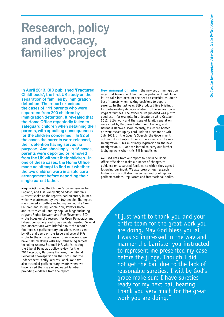## **Research, policy and advocacy, families' project**

**In April 2013, BID published 'Fractured Childhoods', the first UK study on the separation of families by immigration detention. The report examined the cases of 111 parents who were separated from 200 children by immigration detention. It revealed that the Home Office repeatedly failed to safeguard children when detaining their parents, with appalling consequences for the children concerned. In 92 of the cases the parents were released, their detention having served no purpose. And shockingly, in 15 cases, parents were deported or removed from the UK without their children. In one of these cases, the Home Office made no attempt to find out whether the two children were in a safe care arrangement before deporting their single parent father.**

Maggie Atkinson, the Children's Commissioner for England, and Lisa Nandy MP, Shadow Children's Minister spoke at the report's parliamentary launch, which was attended by over 100 people. The report was covered in outlets including Community Care, Children and Young People Now, Politics Home and Politics.co.uk, and by popular blogs including Migrant Rights Network and Free Movement. BID wrote blogs on the research for Open Democracy and Liberal Conspiracy, and it was widely tweeted. Several parliamentarians were briefed about the report's findings; six parliamentary questions were asked by MPs and peers on the issue and several MPs wrote to the Minister raising their concerns. We have held meetings with key influencing targets including Andrew Stunnell MP, who is leading the Liberal Democrat policy review for the 2015 election, Baroness Hamwee, the Liberal Democrat spokesperson in the Lords, and the Independent Family Returns Panel. We have also attended parliamentary events where we have raised the issue of separated families, providing evidence from the report.

**New immigration rules:** the new set of immigration rules that Government laid before parliament last June fail to take into account the need to consider children's best interests when making decisions to deport parents. In the last year, BID produced five briefings for parliamentary debates relating to the separation of migrant families. The evidence we provided was put to good use - for example, in a debate on 23rd October 2012, BID's work and the issue of family separation were cited by Baroness Lister, Lord Avebury, and Baroness Hamwee. More recently, issues we briefed on were picked up by Lord Judd in a debate on 4th July 2013. In the Queen's Speech, the Government outlined its intention to enshrine aspects of the new Immigration Rules in primary legislation in the new Immigration Bill, and we intend to carry out further lobbying work when this Bill is published.

We used data from our report to persuade Home Office officials to make a number of changes to guidance on separated families, to which they agreed following our input. We also drew on our research findings in consultation responses and briefings for parliamentarians, regulators and international bodies.

> "I just want to thank you and your entire team for the great work you are doing. May God bless you all. I was so impressed in the way and manner the barrister you instructed to represent me presented my case before the judge. Though I did not get the bail due to the lack of reasonable sureties, I will by God's grace make sure I have sureties ready for my next bail hearing. Thank you very much for the great work you are doing."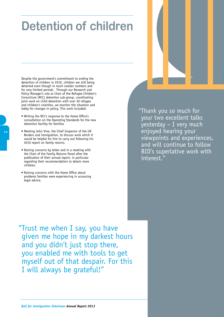# **Detention of children**

Despite the government's commitment to ending the detention of children in 2010, children are still being detained even though in much smaller numbers and for very limited periods. Through our Research and Policy Manager's role as Chair of the Refugee Children's Consortium (RCC) detention sub-group, coordinating joint work on child detention with over 30 refugee and children's charities, we monitor the situation and lobby for changes in policy. This work included:

- Writing the RCC's response to the Home Office's consultation on the Operating Standards for the new detention facility for families
- Meeting John Vine, the Chief Inspector of the UK Borders and Immigration, to discuss work which it would be helpful for him to carry out following his 2010 report on family returns.
- Raising concerns by letter and in a meeting with the Chair of the Family Returns Panel after the publication of their annual report, in particular regarding their recommendation to detain more children.
- Raising concerns with the Home Office about problems families were experiencing in accessing legal advice.

"Thank you so much for your two excellent talks yesterday – I very much enjoyed hearing your viewpoints and experiences, and will continue to follow BID's superlative work with interest."

"Trust me when I say, you have given me hope in my darkest hours and you didn't just stop there, you enabled me with tools to get myself out of that despair. For this I will always be grateful!"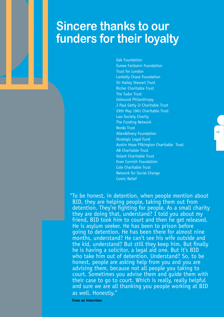### **Sincere thanks to our funders for their loyalty**

Oak Foundation Esmee Fairbairn Foundation Trust for London Lankelly Chase Foundation Sir Halley Stewart Trust Richer Charitable Trust The Tudor Trust Unbound Philanthropy J Paul Getty Jr Charitable Trust 29th May 1961 Charitable Trust Law Society Charity The Funding Network Norda Trust Allen&Overy Foundation Strategic Legal Fund Austin Hope Pilkington Charitable Trust AB Charitable Trust Volant Charitable Trust Evan Cornish Foundation Cole Charitable Trust Network for Social Change Comic Relief

"To be honest, in detention, when people mention about BID, they are helping people, taking them out from detention. They're fighting for people. As a small charity they are doing that, understand? I told you about my friend, BID took him to court and then he get released. He is asylum seeker. He has been to prison before going to detention. He has been there for almost nine months, understand? He can't see his wife outside and the kid, understand? But still they keep him. But finally he is having a solicitor, a legal aid one. But it's BID who take him out of detention. Understand? So, to be honest, people are asking help from you and you are advising them, because not all people you taking to court. Sometimes you advise them and guide them with their case to go to court. Which is really, really helpful and sure we are all thanking you people working at BID as well. Honestly."

 **From an interview:**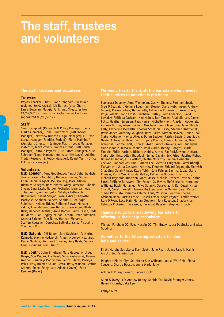### **The staff, trustees and volunteers**

#### **The staff, trustees and volunteers**

#### **Trustees**

Rajeev Thacker (Chair), John Bingham (Treasurer, resigned 20/02/2013), Liz Barratt (Vice-Chair), Laura Bowman, Maggie Pankhurst (Treasurer from 21/02/2013), Chris Tully, Katharine Sacks-Jones (appointed 08/08/2012).

#### **Staff**

Sarah Campbell (Research & Policy Manager), Celia Clarke (Director), Ionel Dumitrascu (BID Oxford Manager), Matthew Duncan (Legal Manager), Elli Free (Legal Manager, Families Project), Pierre Makhlouf (Assistant Director), Iqvinder Malhi, (Legal Manager, maternity leave cover), Frances Pilling (BID South Manager), Natalie Poynter (BID Oxford Manager), Sille Schroder (Legal Manager, on maternity leave), Adeline Trude (Research & Policy Manager), Kamal Yasin (Office & Finance Manager).

#### **Volunteers**

**BID London:** Tony Goodfellow, Targol Jahanbakhsh, Toomaj Karimi-Ayoubloo, Nicholas Beales, Shoaib Khan, Humaira Iqbal, Melissa Ong, Mark Allison, Nicholas Sadeghi, Raza Akhtar, Andy Jamieson, Shabia Sikdar, Sara Saleh, Gordon Fotherby, Liam Carmody, Julia Crellin, Adnan Qadri, Nataliya Petlevych, Ben Monro, Nasrat Sayyad, Raza Akhtar, Charlotte Mathysse, Shabana Saleem, Sophie Miller, Sajid Suleiman, Helene Thiem, Reihane Bawar, Maryam Zakria, Emerald Southern Darbar, Grace Allen, Ubah Dirie, Rebecca Kuehler, Anna Borger, Samir Pasha, Jade Ollivierre, Juan Hogley, Zainab Lantan, Omar Suleiman, Anosha Saleem, Tom Nunn, Hannah Richards, Steffen Kuessner, Dorothea Baltruks, Yahya Alsulaim, Youngeun Koo.

**BID Oxford:** Gill Baden, Sara Davidson, Catherine Kennedy, Maxine Hedworth, Aileen Mooney, Mazharul Karim Mustafa, Angharad Thomas, Amy Neale, Sahara Fergus –Simms, Tom Phillips

**BID South:** John Bingham, Mary George, Michael Heaps, Sue Mullan, Lia Deyal, Sima Keshavarzi, Hawwa Webber, Ruramayi Madzingira, Jennis Slater, Marilyn Miles, Rosy Bremer, Selam Desta, Daisy Watson, Tertius Alberts, Emma Foley, Kate Adams (Dover), Peter Keenan (Dover)

**We would like to thank all the barristers who provided their services to our clients pro bono:**

Francesca Delaney, Anna Watterson, Gwawr Thomas, Siobhan Lloyd, Greg Ó Ceallaigh, Gemma Loughran, Eleanor Claire Hutchinson, Andrew Gilbert, Marisa Cohen, Daniel Sills, Catherine Robinson, Harriet Short, Priya Solanki, John Crosfil, Michelle Pratley, Jack Anderson, David Loveday, Philippa Jackson, Ned Helme, Ben Tankel, Anabella Lee, James Potts, Heather Emerson, Paul Harris, Michelle Knorr, Alasdair Mackenzie, Andrew Burrow, Alison Pickup, Alex Gask, Ben Silverstone, Jane Elliott-Kelly, Catherine Meredith, Thomas Stoat, Val Easty, Stephen Knaffler QC, David Jones, Anthony Vaughan, Raza Halim, Kirsten Heaven, Ronan Toal, Claire McGregor, Navita Atreya, Duran Seddon, Patrick Lewis, Irena Sabic, Navtej Ahluwalia, Helen Foot, Bryony Poynor, Connor Johnston, Owen Greenhall, Leonie Hirst, Thomas Stoat, Frances Trevena, Ali Bandegani, Maria Moodie, Tessa Buchanan, Paul Clarke, Ifeanyi Odogwu, Maria Moodie, Philip Nathan, Richard Mobbs, Althea Radford,Rowena Moffatt, Claire Litchfield, Allan Braddock, Emma Daykin, Eric Fripp, Justine Fisher, Bojana Osanovic, Ellis Wilford, Keelin McCarthy, Sandra Akinbolu, S. Chelvan, Raphael Jesurum, Gordon Lee, Victoria Laughton, Jamil Dhanji, Maryam Mir, Julia Gasparro, Matthew Fletcher, Shivani Jegarajah, Mehvish Chaudhry, Sarah Pinder, Kezia Tobin, Iain Palmer, Samina Iqbal, Claire Physsas, Colin Yeo, Amanda Walker, Catherine Oborne, Bijan Hoshi, Richard Reynolds, Bronwen Jones, Jesse Nicholls, Frances Trevena, Naina Patel, Philippe Bonavero, Tim Potter, Dr. Pavlos Eleftheriadis, Hermione Williams, Hashi Mohamed, Priya Solanki, Sara Anzani, Raj Desai, Kirsten Sjovoll, Sarah Hannett, Joanna Buckley, Grainne Mellon, Sarah Parkes, Simao Paxi-Cato, Rebecca Filletti, Emily Wilsdon, Jennifer Thelen, Afshaan Hena, Justin Leslie, Russell Fraser, Adam Payter, Camille Warren, Rory O'Ryan, Lucy Mair, Marian Cleghorn, Tom Royston, Shazia Khan, Rebecca Pickering, Tara Wolfe, Tasaddat Hussain, Stephen Broach

**Thanks also go to the following barristers for offering us their help and advice:**

Michael Fordham QC, Raza Husain QC, Tim Buley, Laura Dubinsky and Alex Goodman

**As well as to the following solicitors for their help and advice:**

Bhatt Murphy Solicitors: Mark Scott, Jane Ryan, Janet Farrell, Hamish Arnott, Jed Pennington

Deighton Pierce Glyn Solicitors: Sue Willman, Louise Whitfield, Fiona Couzens, Charlie Dobson, Anne-Marie Jolly

Wilson LLP: Kay Everett, James Elliott

Allen & Overy LLP: Andrew Denny, Sophie Orr, David Stranger-Jones, Helen Richards, Jake Lee

Kahiye Alim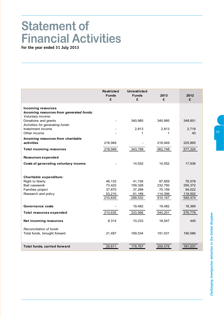# Challenging Immigration detention in the United Kingdom *Challenging Immigration detention in the United Kingdom*

# **Statement of Financial Activities**

**For the year ended 31 July 2013**

|                                                                                            | <b>Restricted</b><br><b>Funds</b><br>£ | <b>Unrestricted</b><br><b>Funds</b><br>£ | 2013<br>£  | 2012<br>£   |
|--------------------------------------------------------------------------------------------|----------------------------------------|------------------------------------------|------------|-------------|
| <b>Incoming resources</b><br>Incoming resources from generated funds:<br>Voluntary income: |                                        |                                          |            |             |
| Donations and grants<br>Activities for generating funds:                                   |                                        | 340,985                                  | 340,985    | 348,601     |
| Investment income<br>Other income                                                          |                                        | 2,813<br>1                               | 2,813<br>1 | 2,718<br>40 |
| Incoming resources from charitable<br>activities                                           | 218,949                                |                                          | 218,949    | 225,865     |
| <b>Total incoming resources</b>                                                            | 218,949                                | 343,799                                  | 562,748    | 577,224     |
| Resources expended                                                                         |                                        |                                          |            |             |
| Costs of generating voluntary income                                                       |                                        | 14,552                                   | 14,552     | 17,936      |
|                                                                                            |                                        |                                          |            |             |
| Charitable expenditure:<br>Right to liberty                                                | 46,133                                 | 41,726                                   | 87,859     | 76,578      |
| Bail casework                                                                              | 73,422                                 | 159,328                                  | 232,750    | 250,372     |
| Families project                                                                           | 37,870                                 | 37,289                                   | 75,159     | 94,022      |
| Research and policy                                                                        | 53,210                                 | 61,189                                   | 114,399    | 119,502     |
|                                                                                            | 210,635                                | 299,532                                  | 510,167    | 540,474     |
| Governance costs                                                                           |                                        | 19,482                                   | 19,482     | 18,369      |
| <b>Total resources expended</b>                                                            | 210,635                                | 333,566                                  | 544,201    | 576,779     |
| Net incoming resources                                                                     | 8,314                                  | 10,233                                   | 18,547     | 445         |
| Reconciliation of funds<br>Total funds, brought forward                                    | 21,497                                 | 169,534                                  | 191,031    | 190,586     |
| Total funds, carried forward                                                               | 29,811                                 | 179,767                                  | 209,578    | 191,031     |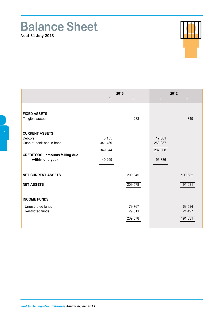### **Balance Sheet As at 31 July 2013**



|                                       | 2013    |         | 2012    |         |
|---------------------------------------|---------|---------|---------|---------|
|                                       | £       | £       | £       | £       |
|                                       |         |         |         |         |
| <b>FIXED ASSETS</b>                   |         |         |         |         |
| Tangible assets                       |         | 233     |         | 349     |
|                                       |         |         |         |         |
| <b>CURRENT ASSETS</b>                 |         |         |         |         |
| <b>Debtors</b>                        | 8,155   |         | 17,081  |         |
| Cash at bank and in hand              | 341,489 |         | 269,987 |         |
|                                       | 349,644 |         | 287,068 |         |
| <b>CREDITORS: amounts falling due</b> |         |         |         |         |
| within one year                       | 140,299 |         | 96,386  |         |
|                                       |         |         |         |         |
| <b>NET CURRENT ASSETS</b>             |         | 209,345 |         | 190,682 |
| <b>NET ASSETS</b>                     |         |         |         |         |
|                                       |         | 209,578 |         | 191,031 |
|                                       |         |         |         |         |
| <b>INCOME FUNDS</b>                   |         |         |         |         |
| Unrestricted funds                    |         | 179,767 |         | 169,534 |
| Restricted funds                      |         | 29,811  |         | 21,497  |
|                                       |         | 209,578 |         | 191,031 |
|                                       |         |         |         |         |

Г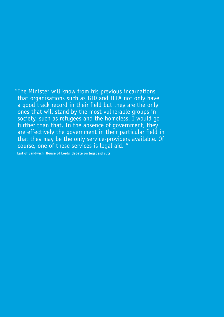"The Minister will know from his previous incarnations that organisations such as BID and ILPA not only have a good track record in their field but they are the only ones that will stand by the most vulnerable groups in society, such as refugees and the homeless.  $\tilde{I}$  would go further than that. In the absence of government, they are effectively the government in their particular field in that they may be the only service-providers available. Of course, one of these services is legal aid. "

 **Earl of Sandwich, House of Lords' debate on legal aid cuts**